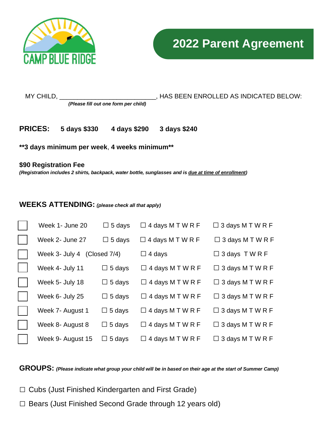



*(Please fill out one form per child)*

MY CHILD, \_\_\_\_\_\_\_\_\_\_\_\_\_\_\_\_\_\_\_\_\_\_\_\_\_\_\_, HAS BEEN ENROLLED AS INDICATED BELOW:

**PRICES: 5 days \$330 4 days \$290 3 days \$240** 

**\*\*3 days minimum per week**, **4 weeks minimum\*\***

## **\$90 Registration Fee**

*(Registration includes 2 shirts, backpack, water bottle, sunglasses and is due at time of enrollment)*

## **WEEKS ATTENDING:** *(please check all that apply)*

| Week 1- June 20             | $\Box$ 5 days    | $\Box$ 4 days M T W R F | $\Box$ 3 days M T W R F |
|-----------------------------|------------------|-------------------------|-------------------------|
| Week 2- June 27             | $\Box$ 5 days    | $\Box$ 4 days M T W R F | $\Box$ 3 days M T W R F |
| Week 3- July 4 (Closed 7/4) |                  | $\Box$ 4 days           | $\Box$ 3 days TWRF      |
| Week 4- July 11             | 5 days<br>$\Box$ | $\Box$ 4 days M T W R F | $\Box$ 3 days M T W R F |
| Week 5- July 18             | $\Box$ 5 days    | $\Box$ 4 days M T W R F | $\Box$ 3 days M T W R F |
| Week 6- July 25             | $\Box$ 5 days    | $\Box$ 4 days M T W R F | $\Box$ 3 days M T W R F |
| Week 7- August 1            | $\Box$ 5 days    | $\Box$ 4 days M T W R F | $\Box$ 3 days M T W R F |
| Week 8- August 8            | $\Box$ 5 days    | $\Box$ 4 days M T W R F | $\Box$ 3 days M T W R F |
| Week 9- August 15           | $\Box$ 5 days    | $\Box$ 4 days M T W R F | $\Box$ 3 days M T W R F |

**GROUPS:** *(Please indicate what group your child will be in based on their age at the start of Summer Camp)*

- □ Cubs (Just Finished Kindergarten and First Grade)
- □ Bears (Just Finished Second Grade through 12 years old)